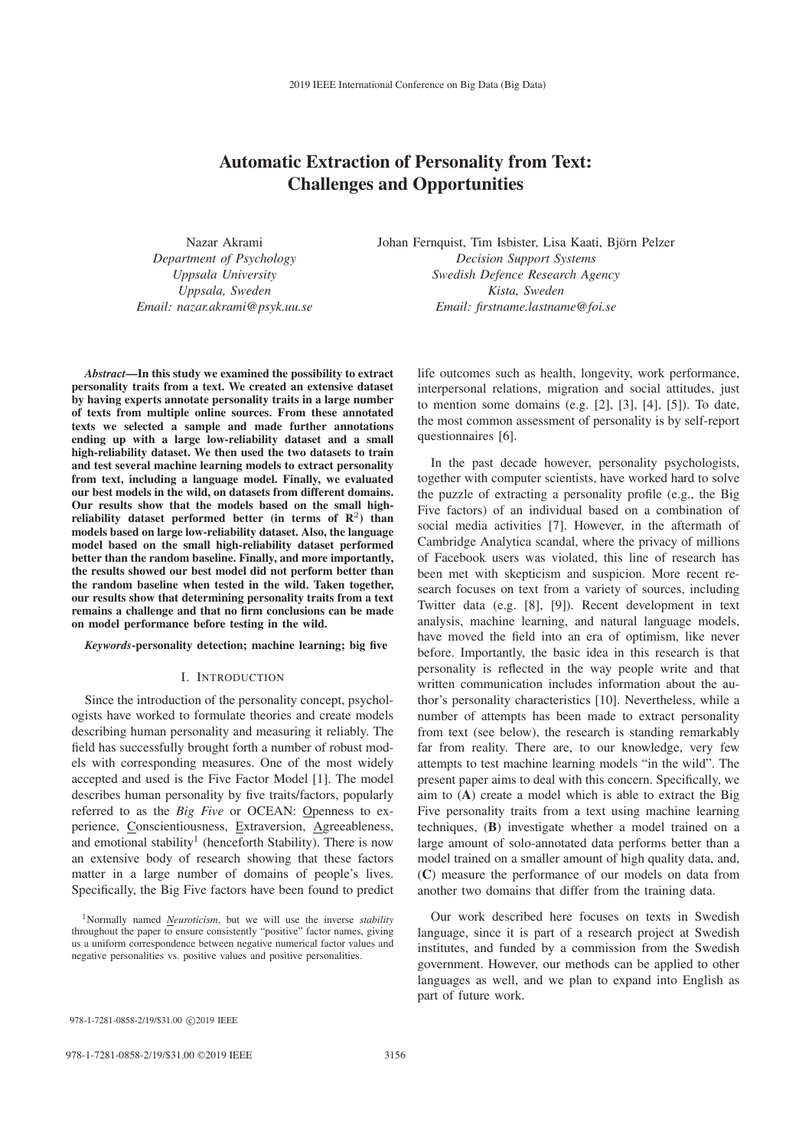# Automatic Extraction of Personality from Text: Challenges and Opportunities

Nazar Akrami *Department of Psychology Uppsala University Uppsala, Sweden Email: nazar.akrami@psyk.uu.se* Johan Fernquist, Tim Isbister, Lisa Kaati, Bjorn Pelzer ¨ *Decision Support Systems Swedish Defence Research Agency Kista, Sweden Email: firstname.lastname@foi.se*

*Abstract*—In this study we examined the possibility to extract personality traits from a text. We created an extensive dataset by having experts annotate personality traits in a large number of texts from multiple online sources. From these annotated texts we selected a sample and made further annotations ending up with a large low-reliability dataset and a small high-reliability dataset. We then used the two datasets to train and test several machine learning models to extract personality from text, including a language model. Finally, we evaluated our best models in the wild, on datasets from different domains. Our results show that the models based on the small highreliability dataset performed better (in terms of  $\mathbb{R}^2$ ) than models based on large low-reliability dataset. Also, the language model based on the small high-reliability dataset performed better than the random baseline. Finally, and more importantly, the results showed our best model did not perform better than the random baseline when tested in the wild. Taken together, our results show that determining personality traits from a text remains a challenge and that no firm conclusions can be made on model performance before testing in the wild.

#### *Keywords*-personality detection; machine learning; big five

## I. INTRODUCTION

Since the introduction of the personality concept, psychologists have worked to formulate theories and create models describing human personality and measuring it reliably. The field has successfully brought forth a number of robust models with corresponding measures. One of the most widely accepted and used is the Five Factor Model [1]. The model describes human personality by five traits/factors, popularly referred to as the *Big Five* or OCEAN: Openness to experience, Conscientiousness, Extraversion, Agreeableness, and emotional stability<sup>1</sup> (henceforth Stability). There is now an extensive body of research showing that these factors matter in a large number of domains of people's lives. Specifically, the Big Five factors have been found to predict life outcomes such as health, longevity, work performance, interpersonal relations, migration and social attitudes, just to mention some domains (e.g. [2], [3], [4], [5]). To date, the most common assessment of personality is by self-report questionnaires [6].

In the past decade however, personality psychologists, together with computer scientists, have worked hard to solve the puzzle of extracting a personality profile (e.g., the Big Five factors) of an individual based on a combination of social media activities [7]. However, in the aftermath of Cambridge Analytica scandal, where the privacy of millions of Facebook users was violated, this line of research has been met with skepticism and suspicion. More recent research focuses on text from a variety of sources, including Twitter data (e.g. [8], [9]). Recent development in text analysis, machine learning, and natural language models, have moved the field into an era of optimism, like never before. Importantly, the basic idea in this research is that personality is reflected in the way people write and that written communication includes information about the author's personality characteristics [10]. Nevertheless, while a number of attempts has been made to extract personality from text (see below), the research is standing remarkably far from reality. There are, to our knowledge, very few attempts to test machine learning models "in the wild". The present paper aims to deal with this concern. Specifically, we aim to (A) create a model which is able to extract the Big Five personality traits from a text using machine learning techniques, (B) investigate whether a model trained on a large amount of solo-annotated data performs better than a model trained on a smaller amount of high quality data, and, (C) measure the performance of our models on data from another two domains that differ from the training data.

Our work described here focuses on texts in Swedish language, since it is part of a research project at Swedish institutes, and funded by a commission from the Swedish government. However, our methods can be applied to other languages as well, and we plan to expand into English as part of future work.

<sup>1</sup>Normally named *Neuroticism*, but we will use the inverse *stability* throughout the paper to ensure consistently "positive" factor names, giving us a uniform correspondence between negative numerical factor values and negative personalities vs. positive values and positive personalities.

<sup>978-1-7281-0858-2/19/\$31.00 ©2019</sup> IEEE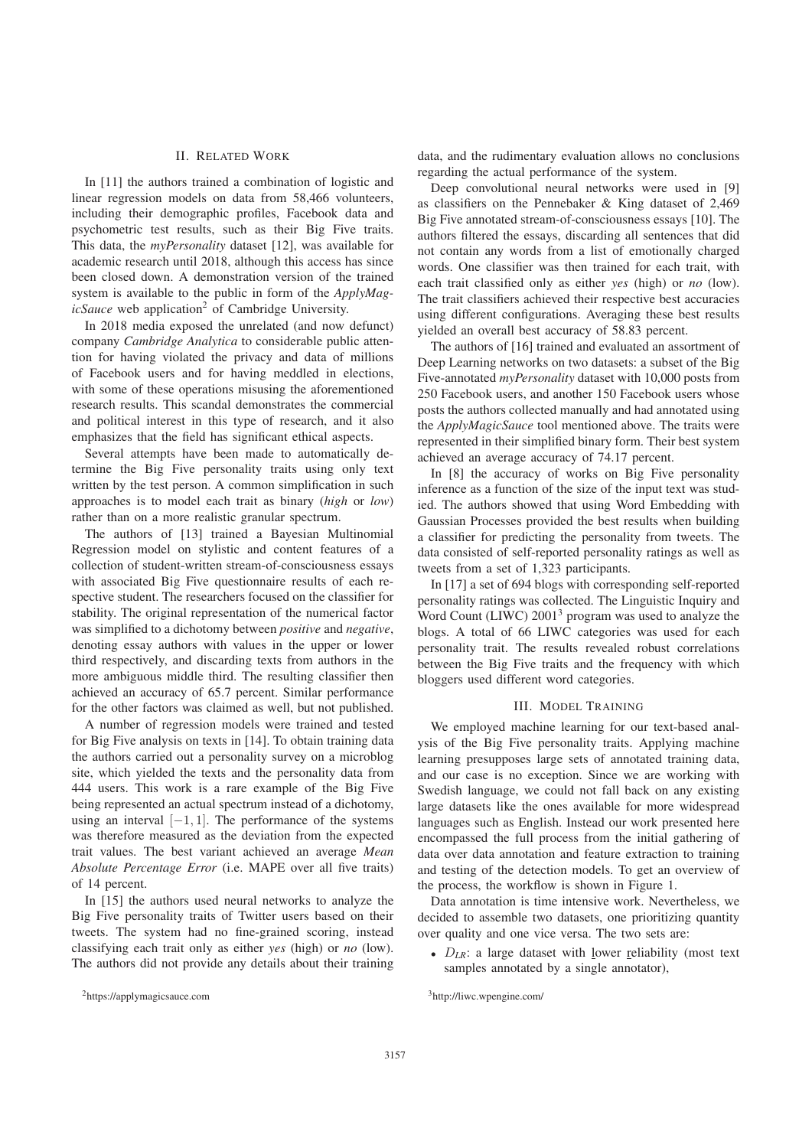## II. RELATED WORK

In [11] the authors trained a combination of logistic and linear regression models on data from 58,466 volunteers, including their demographic profiles, Facebook data and psychometric test results, such as their Big Five traits. This data, the *myPersonality* dataset [12], was available for academic research until 2018, although this access has since been closed down. A demonstration version of the trained system is available to the public in form of the *ApplyMagicSauce* web application<sup>2</sup> of Cambridge University.

In 2018 media exposed the unrelated (and now defunct) company *Cambridge Analytica* to considerable public attention for having violated the privacy and data of millions of Facebook users and for having meddled in elections, with some of these operations misusing the aforementioned research results. This scandal demonstrates the commercial and political interest in this type of research, and it also emphasizes that the field has significant ethical aspects.

Several attempts have been made to automatically determine the Big Five personality traits using only text written by the test person. A common simplification in such approaches is to model each trait as binary (*high* or *low*) rather than on a more realistic granular spectrum.

The authors of [13] trained a Bayesian Multinomial Regression model on stylistic and content features of a collection of student-written stream-of-consciousness essays with associated Big Five questionnaire results of each respective student. The researchers focused on the classifier for stability. The original representation of the numerical factor was simplified to a dichotomy between *positive* and *negative*, denoting essay authors with values in the upper or lower third respectively, and discarding texts from authors in the more ambiguous middle third. The resulting classifier then achieved an accuracy of 65.7 percent. Similar performance for the other factors was claimed as well, but not published.

A number of regression models were trained and tested for Big Five analysis on texts in [14]. To obtain training data the authors carried out a personality survey on a microblog site, which yielded the texts and the personality data from 444 users. This work is a rare example of the Big Five being represented an actual spectrum instead of a dichotomy, using an interval  $[-1, 1]$ . The performance of the systems was therefore measured as the deviation from the expected trait values. The best variant achieved an average *Mean Absolute Percentage Error* (i.e. MAPE over all five traits) of 14 percent.

In [15] the authors used neural networks to analyze the Big Five personality traits of Twitter users based on their tweets. The system had no fine-grained scoring, instead classifying each trait only as either *yes* (high) or *no* (low). The authors did not provide any details about their training

data, and the rudimentary evaluation allows no conclusions regarding the actual performance of the system.

Deep convolutional neural networks were used in [9] as classifiers on the Pennebaker & King dataset of 2,469 Big Five annotated stream-of-consciousness essays [10]. The authors filtered the essays, discarding all sentences that did not contain any words from a list of emotionally charged words. One classifier was then trained for each trait, with each trait classified only as either *yes* (high) or *no* (low). The trait classifiers achieved their respective best accuracies using different configurations. Averaging these best results yielded an overall best accuracy of 58.83 percent.

The authors of [16] trained and evaluated an assortment of Deep Learning networks on two datasets: a subset of the Big Five-annotated *myPersonality* dataset with 10,000 posts from 250 Facebook users, and another 150 Facebook users whose posts the authors collected manually and had annotated using the *ApplyMagicSauce* tool mentioned above. The traits were represented in their simplified binary form. Their best system achieved an average accuracy of 74.17 percent.

In [8] the accuracy of works on Big Five personality inference as a function of the size of the input text was studied. The authors showed that using Word Embedding with Gaussian Processes provided the best results when building a classifier for predicting the personality from tweets. The data consisted of self-reported personality ratings as well as tweets from a set of 1,323 participants.

In [17] a set of 694 blogs with corresponding self-reported personality ratings was collected. The Linguistic Inquiry and Word Count (LIWC) 2001<sup>3</sup> program was used to analyze the blogs. A total of 66 LIWC categories was used for each personality trait. The results revealed robust correlations between the Big Five traits and the frequency with which bloggers used different word categories.

#### III. MODEL TRAINING

We employed machine learning for our text-based analysis of the Big Five personality traits. Applying machine learning presupposes large sets of annotated training data, and our case is no exception. Since we are working with Swedish language, we could not fall back on any existing large datasets like the ones available for more widespread languages such as English. Instead our work presented here encompassed the full process from the initial gathering of data over data annotation and feature extraction to training and testing of the detection models. To get an overview of the process, the workflow is shown in Figure 1.

Data annotation is time intensive work. Nevertheless, we decided to assemble two datasets, one prioritizing quantity over quality and one vice versa. The two sets are:

•  $D_{IR}$ : a large dataset with lower reliability (most text samples annotated by a single annotator),

<sup>2</sup>https://applymagicsauce.com

<sup>3</sup>http://liwc.wpengine.com/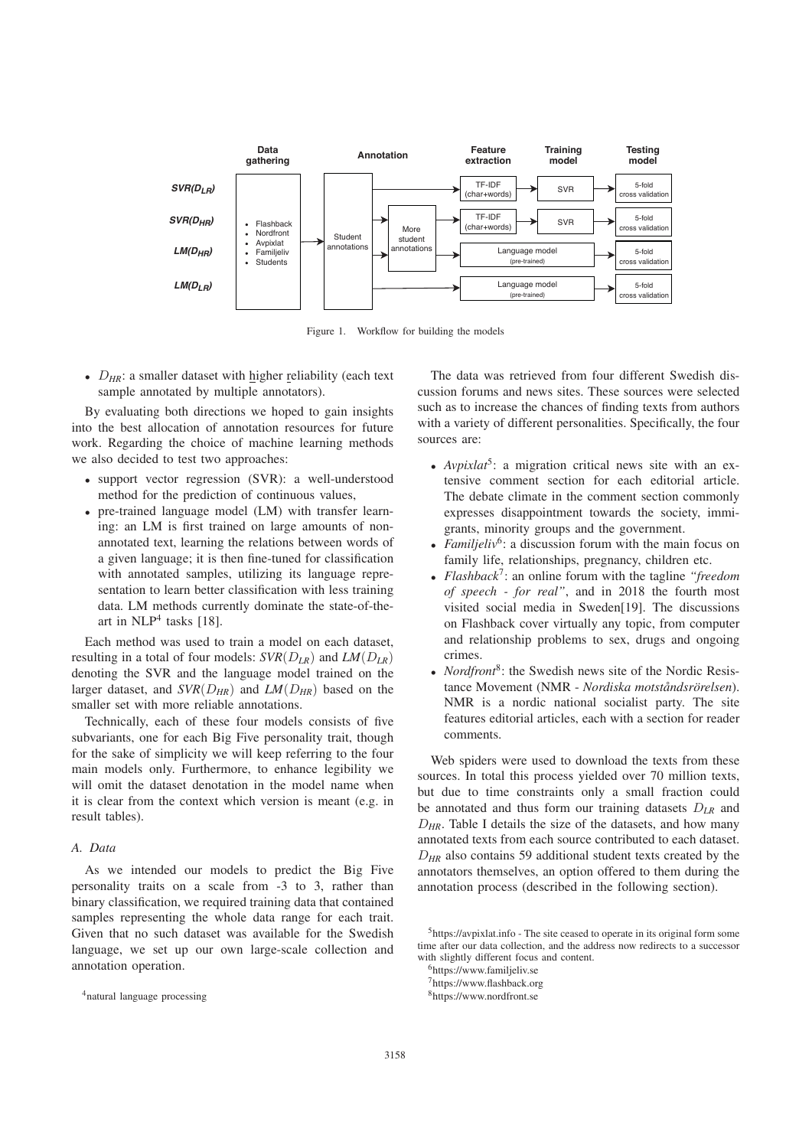

Figure 1. Workflow for building the models

•  $D_{HR}$ : a smaller dataset with higher reliability (each text sample annotated by multiple annotators).

By evaluating both directions we hoped to gain insights into the best allocation of annotation resources for future work. Regarding the choice of machine learning methods we also decided to test two approaches:

- support vector regression (SVR): a well-understood method for the prediction of continuous values,
- pre-trained language model (LM) with transfer learning: an LM is first trained on large amounts of nonannotated text, learning the relations between words of a given language; it is then fine-tuned for classification with annotated samples, utilizing its language representation to learn better classification with less training data. LM methods currently dominate the state-of-theart in  $NLP<sup>4</sup>$  tasks [18].

Each method was used to train a model on each dataset, resulting in a total of four models:  $SVR(D_{LR})$  and  $LM(D_{LR})$ denoting the SVR and the language model trained on the larger dataset, and  $SVR(D_{HR})$  and  $LM(D_{HR})$  based on the smaller set with more reliable annotations.

Technically, each of these four models consists of five subvariants, one for each Big Five personality trait, though for the sake of simplicity we will keep referring to the four main models only. Furthermore, to enhance legibility we will omit the dataset denotation in the model name when it is clear from the context which version is meant (e.g. in result tables).

# *A. Data*

As we intended our models to predict the Big Five personality traits on a scale from -3 to 3, rather than binary classification, we required training data that contained samples representing the whole data range for each trait. Given that no such dataset was available for the Swedish language, we set up our own large-scale collection and annotation operation.

The data was retrieved from four different Swedish discussion forums and news sites. These sources were selected such as to increase the chances of finding texts from authors with a variety of different personalities. Specifically, the four sources are:

- *Avpixlat<sup>5</sup>*: a migration critical news site with an extensive comment section for each editorial article. The debate climate in the comment section commonly expresses disappointment towards the society, immigrants, minority groups and the government.
- *Familjeliv<sup>6</sup>*: a discussion forum with the main focus on family life, relationships, pregnancy, children etc.
- *Flashback*7: an online forum with the tagline *"freedom of speech - for real"*, and in 2018 the fourth most visited social media in Sweden[19]. The discussions on Flashback cover virtually any topic, from computer and relationship problems to sex, drugs and ongoing crimes.
- *Nordfront<sup>8</sup>*: the Swedish news site of the Nordic Resistance Movement (NMR - *Nordiska motståndsrörelsen*). NMR is a nordic national socialist party. The site features editorial articles, each with a section for reader comments.

Web spiders were used to download the texts from these sources. In total this process yielded over 70 million texts, but due to time constraints only a small fraction could be annotated and thus form our training datasets D*LR* and D*HR*. Table I details the size of the datasets, and how many annotated texts from each source contributed to each dataset.  $D_{HR}$  also contains 59 additional student texts created by the annotators themselves, an option offered to them during the annotation process (described in the following section).

<sup>4</sup>natural language processing

<sup>5</sup>https://avpixlat.info - The site ceased to operate in its original form some time after our data collection, and the address now redirects to a successor with slightly different focus and content.

<sup>6</sup>https://www.familjeliv.se

<sup>7</sup>https://www.flashback.org

<sup>8</sup>https://www.nordfront.se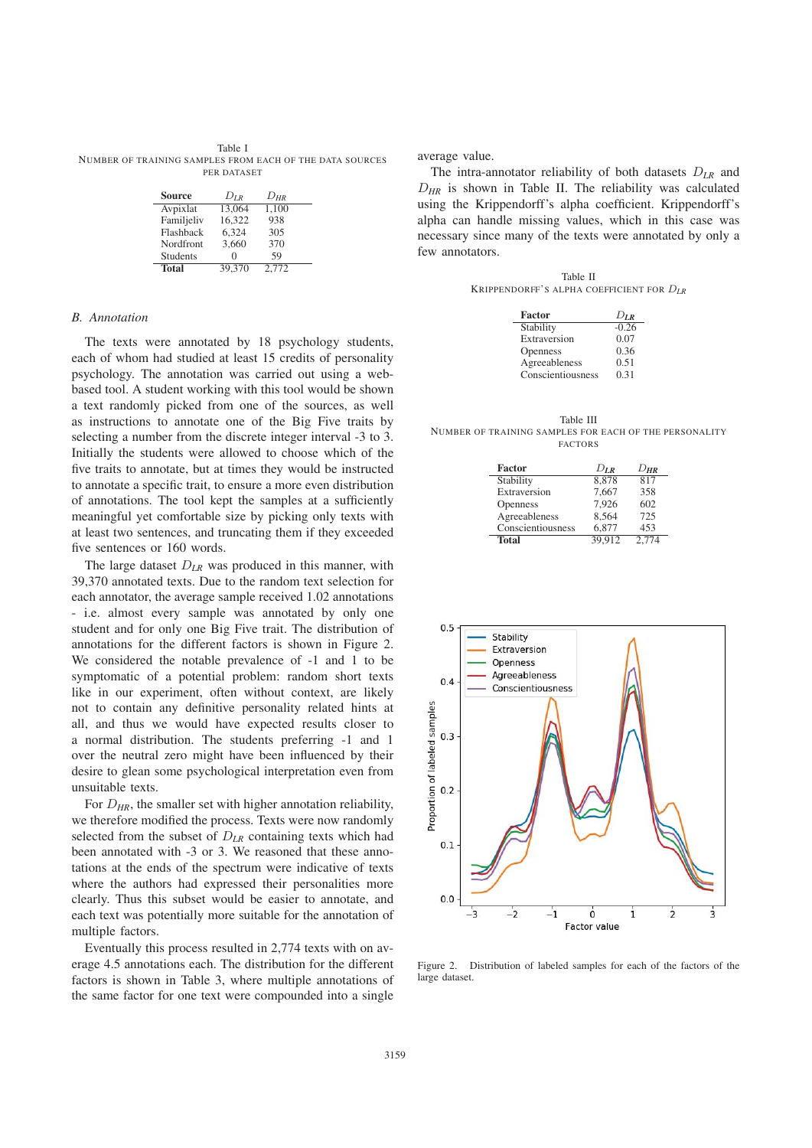Table I NUMBER OF TRAINING SAMPLES FROM EACH OF THE DATA SOURCES PER DATASET

| <b>Source</b>   | $D_{IR}$ | $D_{HR}$ |
|-----------------|----------|----------|
| Avpixlat        | 13.064   | 1,100    |
| Familjeliv      | 16.322   | 938      |
| Flashback       | 6.324    | 305      |
| Nordfront       | 3.660    | 370      |
| <b>Students</b> | 0        | 59       |
| <b>Total</b>    | 39.370   | 2.772    |

### *B. Annotation*

The texts were annotated by 18 psychology students, each of whom had studied at least 15 credits of personality psychology. The annotation was carried out using a webbased tool. A student working with this tool would be shown a text randomly picked from one of the sources, as well as instructions to annotate one of the Big Five traits by selecting a number from the discrete integer interval -3 to 3. Initially the students were allowed to choose which of the five traits to annotate, but at times they would be instructed to annotate a specific trait, to ensure a more even distribution of annotations. The tool kept the samples at a sufficiently meaningful yet comfortable size by picking only texts with at least two sentences, and truncating them if they exceeded five sentences or 160 words.

The large dataset  $D_{LR}$  was produced in this manner, with 39,370 annotated texts. Due to the random text selection for each annotator, the average sample received 1.02 annotations - i.e. almost every sample was annotated by only one student and for only one Big Five trait. The distribution of annotations for the different factors is shown in Figure 2. We considered the notable prevalence of -1 and 1 to be symptomatic of a potential problem: random short texts like in our experiment, often without context, are likely not to contain any definitive personality related hints at all, and thus we would have expected results closer to a normal distribution. The students preferring -1 and 1 over the neutral zero might have been influenced by their desire to glean some psychological interpretation even from unsuitable texts.

For  $D_{HR}$ , the smaller set with higher annotation reliability, we therefore modified the process. Texts were now randomly selected from the subset of D*LR* containing texts which had been annotated with -3 or 3. We reasoned that these annotations at the ends of the spectrum were indicative of texts where the authors had expressed their personalities more clearly. Thus this subset would be easier to annotate, and each text was potentially more suitable for the annotation of multiple factors.

Eventually this process resulted in 2,774 texts with on average 4.5 annotations each. The distribution for the different factors is shown in Table 3, where multiple annotations of the same factor for one text were compounded into a single

average value.

The intra-annotator reliability of both datasets D*LR* and D*HR* is shown in Table II. The reliability was calculated using the Krippendorff's alpha coefficient. Krippendorff's alpha can handle missing values, which in this case was necessary since many of the texts were annotated by only a few annotators.

Table II KRIPPENDORFF'S ALPHA COEFFICIENT FOR D*LR*

| Factor            | $D_{LR}$ |
|-------------------|----------|
| Stability         | $-0.26$  |
| Extraversion      | 0.07     |
| Openness          | 0.36     |
| Agreeableness     | 0.51     |
| Conscientiousness | 0.31     |

Table III NUMBER OF TRAINING SAMPLES FOR EACH OF THE PERSONALITY FACTORS

| <b>Factor</b>     | $D_{LR}$ | $D_{\textit{HR}}$ |
|-------------------|----------|-------------------|
| Stability         | 8.878    | 817               |
| Extraversion      | 7.667    | 358               |
| Openness          | 7.926    | 602               |
| Agreeableness     | 8,564    | 725               |
| Conscientiousness | 6,877    | 453               |
| <b>Total</b>      | 39.912   | 2.774             |



Figure 2. Distribution of labeled samples for each of the factors of the large dataset.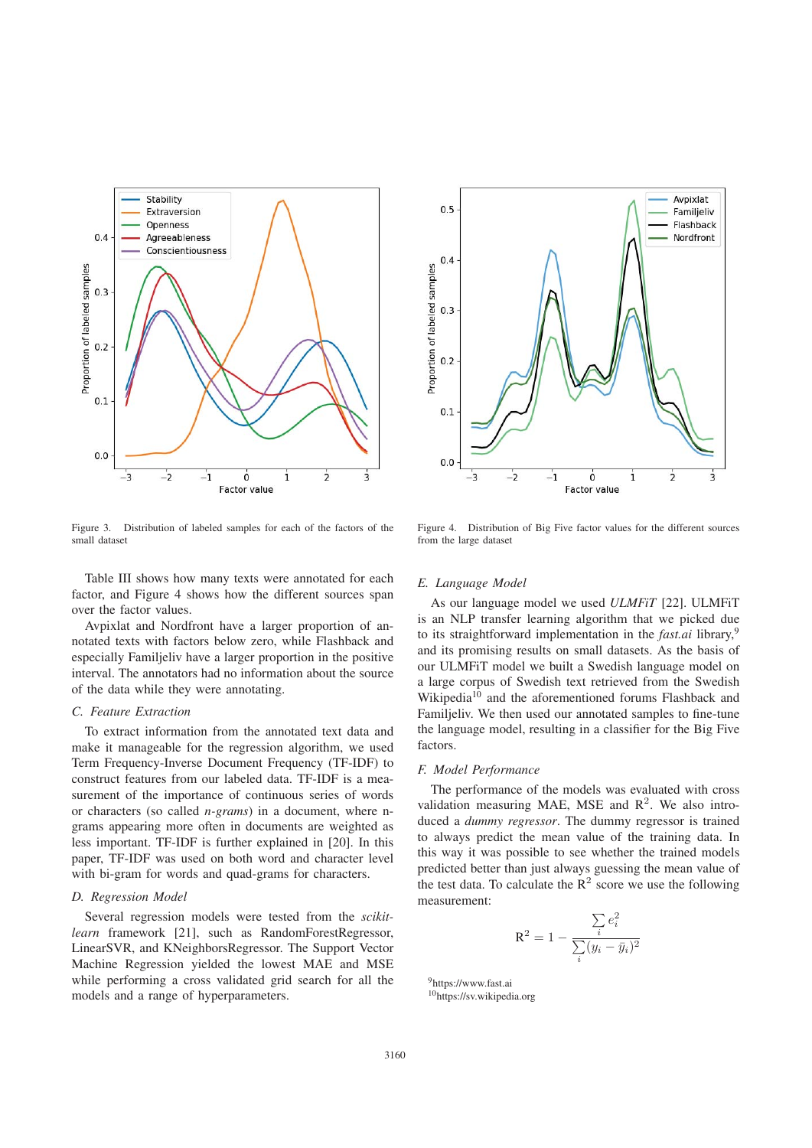

Figure 3. Distribution of labeled samples for each of the factors of the small dataset

Table III shows how many texts were annotated for each factor, and Figure 4 shows how the different sources span over the factor values.

Avpixlat and Nordfront have a larger proportion of annotated texts with factors below zero, while Flashback and especially Familjeliv have a larger proportion in the positive interval. The annotators had no information about the source of the data while they were annotating.

# *C. Feature Extraction*

To extract information from the annotated text data and make it manageable for the regression algorithm, we used Term Frequency-Inverse Document Frequency (TF-IDF) to construct features from our labeled data. TF-IDF is a measurement of the importance of continuous series of words or characters (so called *n-grams*) in a document, where ngrams appearing more often in documents are weighted as less important. TF-IDF is further explained in [20]. In this paper, TF-IDF was used on both word and character level with bi-gram for words and quad-grams for characters.

#### *D. Regression Model*

Several regression models were tested from the *scikitlearn* framework [21], such as RandomForestRegressor, LinearSVR, and KNeighborsRegressor. The Support Vector Machine Regression yielded the lowest MAE and MSE while performing a cross validated grid search for all the models and a range of hyperparameters.



Figure 4. Distribution of Big Five factor values for the different sources from the large dataset

#### *E. Language Model*

As our language model we used *ULMFiT* [22]. ULMFiT is an NLP transfer learning algorithm that we picked due to its straightforward implementation in the *fast.ai* library,<sup>9</sup> and its promising results on small datasets. As the basis of our ULMFiT model we built a Swedish language model on a large corpus of Swedish text retrieved from the Swedish Wikipedia<sup>10</sup> and the aforementioned forums Flashback and Familjeliv. We then used our annotated samples to fine-tune the language model, resulting in a classifier for the Big Five factors.

#### *F. Model Performance*

The performance of the models was evaluated with cross validation measuring MAE, MSE and  $R^2$ . We also introduced a *dummy regressor*. The dummy regressor is trained to always predict the mean value of the training data. In this way it was possible to see whether the trained models predicted better than just always guessing the mean value of the test data. To calculate the  $R^2$  score we use the following measurement:

$$
R^{2} = 1 - \frac{\sum_{i} e_{i}^{2}}{\sum_{i} (y_{i} - \bar{y}_{i})^{2}}
$$

9https://www.fast.ai 10https://sv.wikipedia.org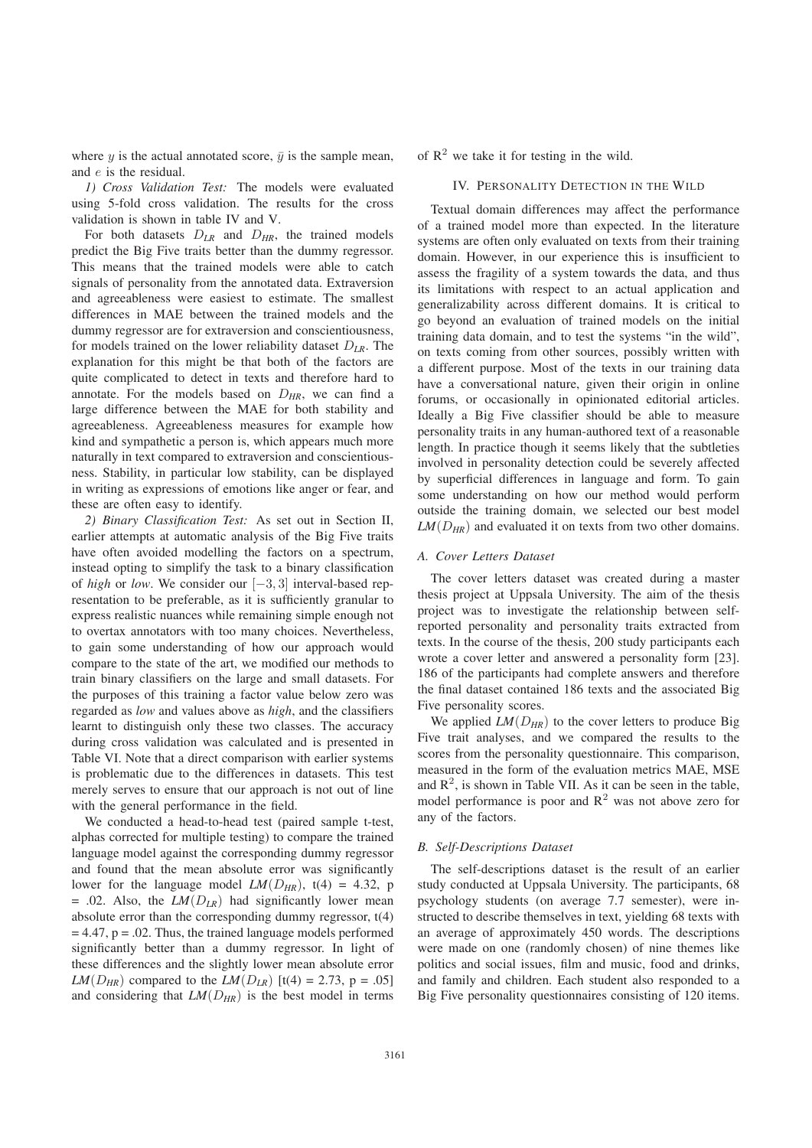where y is the actual annotated score,  $\bar{y}$  is the sample mean, and e is the residual.

*1) Cross Validation Test:* The models were evaluated using 5-fold cross validation. The results for the cross validation is shown in table IV and V.

For both datasets D*LR* and D*HR*, the trained models predict the Big Five traits better than the dummy regressor. This means that the trained models were able to catch signals of personality from the annotated data. Extraversion and agreeableness were easiest to estimate. The smallest differences in MAE between the trained models and the dummy regressor are for extraversion and conscientiousness, for models trained on the lower reliability dataset D*LR*. The explanation for this might be that both of the factors are quite complicated to detect in texts and therefore hard to annotate. For the models based on  $D_{HR}$ , we can find a large difference between the MAE for both stability and agreeableness. Agreeableness measures for example how kind and sympathetic a person is, which appears much more naturally in text compared to extraversion and conscientiousness. Stability, in particular low stability, can be displayed in writing as expressions of emotions like anger or fear, and these are often easy to identify.

*2) Binary Classification Test:* As set out in Section II, earlier attempts at automatic analysis of the Big Five traits have often avoided modelling the factors on a spectrum, instead opting to simplify the task to a binary classification of *high* or *low*. We consider our [−3, 3] interval-based representation to be preferable, as it is sufficiently granular to express realistic nuances while remaining simple enough not to overtax annotators with too many choices. Nevertheless, to gain some understanding of how our approach would compare to the state of the art, we modified our methods to train binary classifiers on the large and small datasets. For the purposes of this training a factor value below zero was regarded as *low* and values above as *high*, and the classifiers learnt to distinguish only these two classes. The accuracy during cross validation was calculated and is presented in Table VI. Note that a direct comparison with earlier systems is problematic due to the differences in datasets. This test merely serves to ensure that our approach is not out of line with the general performance in the field.

We conducted a head-to-head test (paired sample t-test, alphas corrected for multiple testing) to compare the trained language model against the corresponding dummy regressor and found that the mean absolute error was significantly lower for the language model  $LM(D_{HR})$ , t(4) = 4.32, p  $= .02$ . Also, the *LM*( $D_{LR}$ ) had significantly lower mean absolute error than the corresponding dummy regressor, t(4)  $= 4.47$ ,  $p = .02$ . Thus, the trained language models performed significantly better than a dummy regressor. In light of these differences and the slightly lower mean absolute error *LM*( $D_{HR}$ ) compared to the *LM*( $D_{LR}$ ) [t(4) = 2.73, p = .05] and considering that  $LM(D_{HR})$  is the best model in terms

of  $R^2$  we take it for testing in the wild.

# IV. PERSONALITY DETECTION IN THE WILD

Textual domain differences may affect the performance of a trained model more than expected. In the literature systems are often only evaluated on texts from their training domain. However, in our experience this is insufficient to assess the fragility of a system towards the data, and thus its limitations with respect to an actual application and generalizability across different domains. It is critical to go beyond an evaluation of trained models on the initial training data domain, and to test the systems "in the wild", on texts coming from other sources, possibly written with a different purpose. Most of the texts in our training data have a conversational nature, given their origin in online forums, or occasionally in opinionated editorial articles. Ideally a Big Five classifier should be able to measure personality traits in any human-authored text of a reasonable length. In practice though it seems likely that the subtleties involved in personality detection could be severely affected by superficial differences in language and form. To gain some understanding on how our method would perform outside the training domain, we selected our best model *LM*(D*HR*) and evaluated it on texts from two other domains.

## *A. Cover Letters Dataset*

The cover letters dataset was created during a master thesis project at Uppsala University. The aim of the thesis project was to investigate the relationship between selfreported personality and personality traits extracted from texts. In the course of the thesis, 200 study participants each wrote a cover letter and answered a personality form [23]. 186 of the participants had complete answers and therefore the final dataset contained 186 texts and the associated Big Five personality scores.

We applied  $LM(D_{HR})$  to the cover letters to produce Big Five trait analyses, and we compared the results to the scores from the personality questionnaire. This comparison, measured in the form of the evaluation metrics MAE, MSE and  $\mathbb{R}^2$ , is shown in Table VII. As it can be seen in the table, model performance is poor and  $R^2$  was not above zero for any of the factors.

## *B. Self-Descriptions Dataset*

The self-descriptions dataset is the result of an earlier study conducted at Uppsala University. The participants, 68 psychology students (on average 7.7 semester), were instructed to describe themselves in text, yielding 68 texts with an average of approximately 450 words. The descriptions were made on one (randomly chosen) of nine themes like politics and social issues, film and music, food and drinks, and family and children. Each student also responded to a Big Five personality questionnaires consisting of 120 items.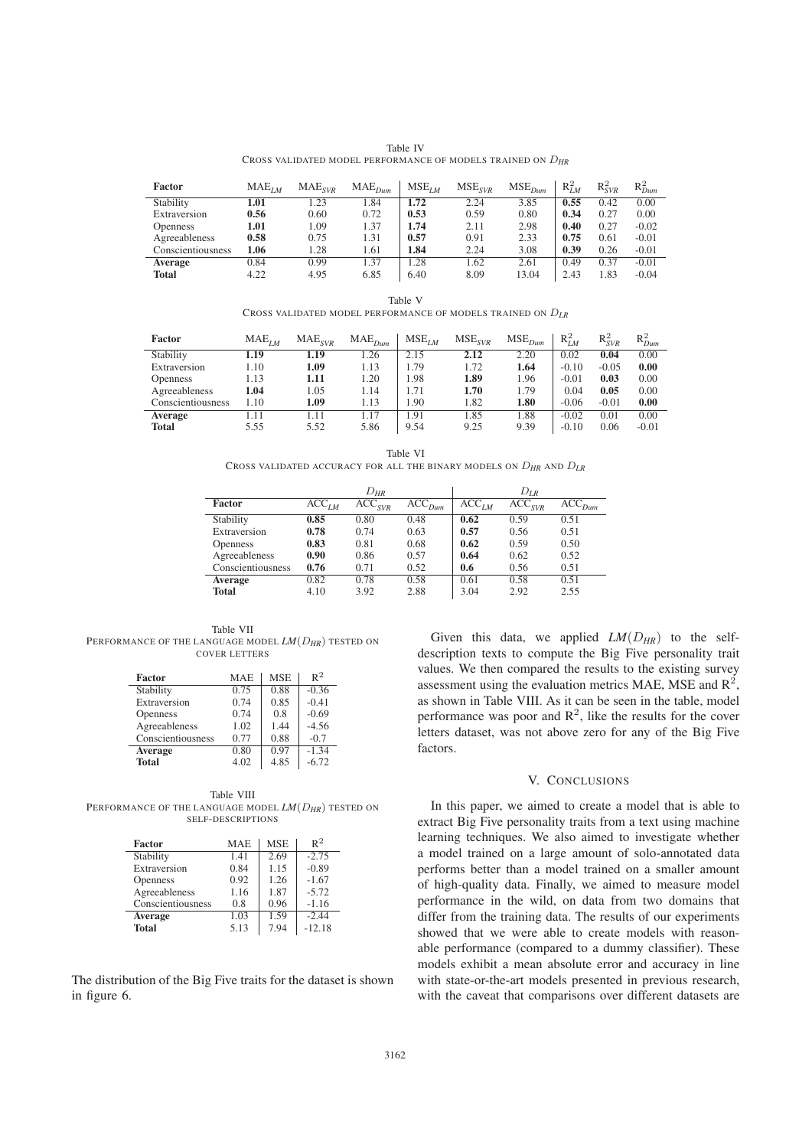|                                                                 | Table IV |  |  |
|-----------------------------------------------------------------|----------|--|--|
| CROSS VALIDATED MODEL PERFORMANCE OF MODELS TRAINED ON $D_{HR}$ |          |  |  |

| Factor            | $MAE$ <sub><i>IM</i></sub> | MAE <sub>SVR</sub> | $MAE_{Dum}$ | $MSE$ <sub>LM</sub> | $MSE$ <sub>SVR</sub> | $MSE$ <sub>Dum</sub> | $R_{LM}^2$ | $R_{SVR}^2$ | $R^2_{Dum}$ |
|-------------------|----------------------------|--------------------|-------------|---------------------|----------------------|----------------------|------------|-------------|-------------|
| Stability         | 1.01                       | 1.23               | 1.84        | 1.72                | 2.24                 | 3.85                 | 0.55       | 0.42        | 0.00        |
| Extraversion      | 0.56                       | 0.60               | 0.72        | 0.53                | 0.59                 | 0.80                 | 0.34       | 0.27        | 0.00        |
| <b>Openness</b>   | 1.01                       | 1.09               | 1.37        | 1.74                | 2.11                 | 2.98                 | 0.40       | 0.27        | $-0.02$     |
| Agreeableness     | 0.58                       | 0.75               | 1.31        | 0.57                | 0.91                 | 2.33                 | 0.75       | 0.61        | $-0.01$     |
| Conscientiousness | 1.06                       | 1.28               | 1.61        | 1.84                | 2.24                 | 3.08                 | 0.39       | 0.26        | $-0.01$     |
| Average           | 0.84                       | 0.99               | l.37        | .28                 | 1.62                 | 2.61                 | 0.49       | 0.37        | $-0.01$     |
| <b>Total</b>      | 4.22                       | 4.95               | 6.85        | 6.40                | 8.09                 | 13.04                | 2.43       | 1.83        | $-0.04$     |

Table V CROSS VALIDATED MODEL PERFORMANCE OF MODELS TRAINED ON D*LR*

| <b>Factor</b>     | $MAE_{IM}$ | MAE <sub>SVR</sub> | $MAE_{Dum}$ | $MSE$ <sub>LM</sub> | $MSE$ <sub>SVR</sub> | $MSE$ <sub>Dum</sub> | $R_{LM}^2$ | $R_{SVR}^2$ | $R^2_{Dum}$ |
|-------------------|------------|--------------------|-------------|---------------------|----------------------|----------------------|------------|-------------|-------------|
| Stability         | 1.19       | 1.19               | 1.26        | 2.15                | 2.12                 | 2.20                 | 0.02       | 0.04        | 0.00        |
| Extraversion      | 1.10       | 1.09               | 1.13        | 1.79                | 1.72                 | 1.64                 | $-0.10$    | $-0.05$     | 0.00        |
| <b>Openness</b>   | 1.13       | 1.11               | 1.20        | 1.98                | 1.89                 | 1.96                 | $-0.01$    | 0.03        | 0.00        |
| Agreeableness     | 1.04       | 1.05               | 1.14        | 1.71                | 1.70                 | 1.79                 | 0.04       | 0.05        | 0.00        |
| Conscientiousness | 1.10       | 1.09               | 1.13        | 1.90                | 1.82                 | 1.80                 | $-0.06$    | $-0.01$     | 0.00        |
| Average           | 1.11       | l.11               | 1.17        | 1.91                | 1.85                 | 1.88                 | $-0.02$    | 0.01        | 0.00        |
| Total             | 5.55       | 5.52               | 5.86        | 9.54                | 9.25                 | 9.39                 | $-0.10$    | 0.06        | $-0.01$     |

Table VI CROSS VALIDATED ACCURACY FOR ALL THE BINARY MODELS ON D*HR* AND D*LR*

|                   |            | $D_{HR}$               |                        |                   | $D_{LR}$               |                        |
|-------------------|------------|------------------------|------------------------|-------------------|------------------------|------------------------|
| Factor            | $ACC_{LM}$ | $\overline{ACC}_{SVR}$ | $\overline{ACC}_{Dum}$ | ACC <sub>LM</sub> | $\overline{ACC}_{SVR}$ | $\overline{ACC}_{Dum}$ |
| Stability         | 0.85       | 0.80                   | 0.48                   | 0.62              | 0.59                   | 0.51                   |
| Extraversion      | 0.78       | 0.74                   | 0.63                   | 0.57              | 0.56                   | 0.51                   |
| <b>Openness</b>   | 0.83       | 0.81                   | 0.68                   | 0.62              | 0.59                   | 0.50                   |
| Agreeableness     | 0.90       | 0.86                   | 0.57                   | 0.64              | 0.62                   | 0.52                   |
| Conscientiousness | 0.76       | 0.71                   | 0.52                   | 0.6               | 0.56                   | 0.51                   |
| Average           | 0.82       | 0.78                   | 0.58                   | 0.61              | 0.58                   | 0.51                   |
| <b>Total</b>      | 4.10       | 3.92                   | 2.88                   | 3.04              | 2.92                   | 2.55                   |

Table VII PERFORMANCE OF THE LANGUAGE MODEL *LM*(D*HR*) TESTED ON COVER LETTERS

| Factor            | <b>MAE</b> | <b>MSE</b> | $R^2$              |
|-------------------|------------|------------|--------------------|
| Stability         | 0.75       | 0.88       | $-0.36$            |
| Extraversion      | 0.74       | 0.85       | $-0.41$            |
| Openness          | 0.74       | 0.8        | $-0.69$            |
| Agreeableness     | 1.02       | 144        | $-4.56$            |
| Conscientiousness | 0.77       | 0.88       | $-0.7$             |
| Average           | 0.80       | 0.97       | $-1.\overline{34}$ |
| <b>Total</b>      | 4.02       | 4.85       | $-6.72$            |

Table VIII PERFORMANCE OF THE LANGUAGE MODEL *LM*(D*HR*) TESTED ON SELF-DESCRIPTIONS

| <b>Factor</b>     | <b>MAE</b> | <b>MSE</b> | $R^2$    |
|-------------------|------------|------------|----------|
| Stability         | 1.41       | 2.69       | $-2.75$  |
| Extraversion      | 0.84       | 1.15       | $-0.89$  |
| Openness          | 0.92       | 1.26       | $-1.67$  |
| Agreeableness     | 1.16       | 1.87       | $-5.72$  |
| Conscientiousness | 0.8        | 0.96       | $-1.16$  |
| Average           | 1.03       | 1.59       | $-2.44$  |
| <b>Total</b>      | 5.13       | 7.94       | $-12.18$ |

The distribution of the Big Five traits for the dataset is shown in figure 6.

Given this data, we applied  $LM(D_{HR})$  to the selfdescription texts to compute the Big Five personality trait values. We then compared the results to the existing survey assessment using the evaluation metrics MAE, MSE and  $\mathbb{R}^2$ , as shown in Table VIII. As it can be seen in the table, model performance was poor and  $\mathbb{R}^2$ , like the results for the cover letters dataset, was not above zero for any of the Big Five factors.

## V. CONCLUSIONS

In this paper, we aimed to create a model that is able to extract Big Five personality traits from a text using machine learning techniques. We also aimed to investigate whether a model trained on a large amount of solo-annotated data performs better than a model trained on a smaller amount of high-quality data. Finally, we aimed to measure model performance in the wild, on data from two domains that differ from the training data. The results of our experiments showed that we were able to create models with reasonable performance (compared to a dummy classifier). These models exhibit a mean absolute error and accuracy in line with state-or-the-art models presented in previous research, with the caveat that comparisons over different datasets are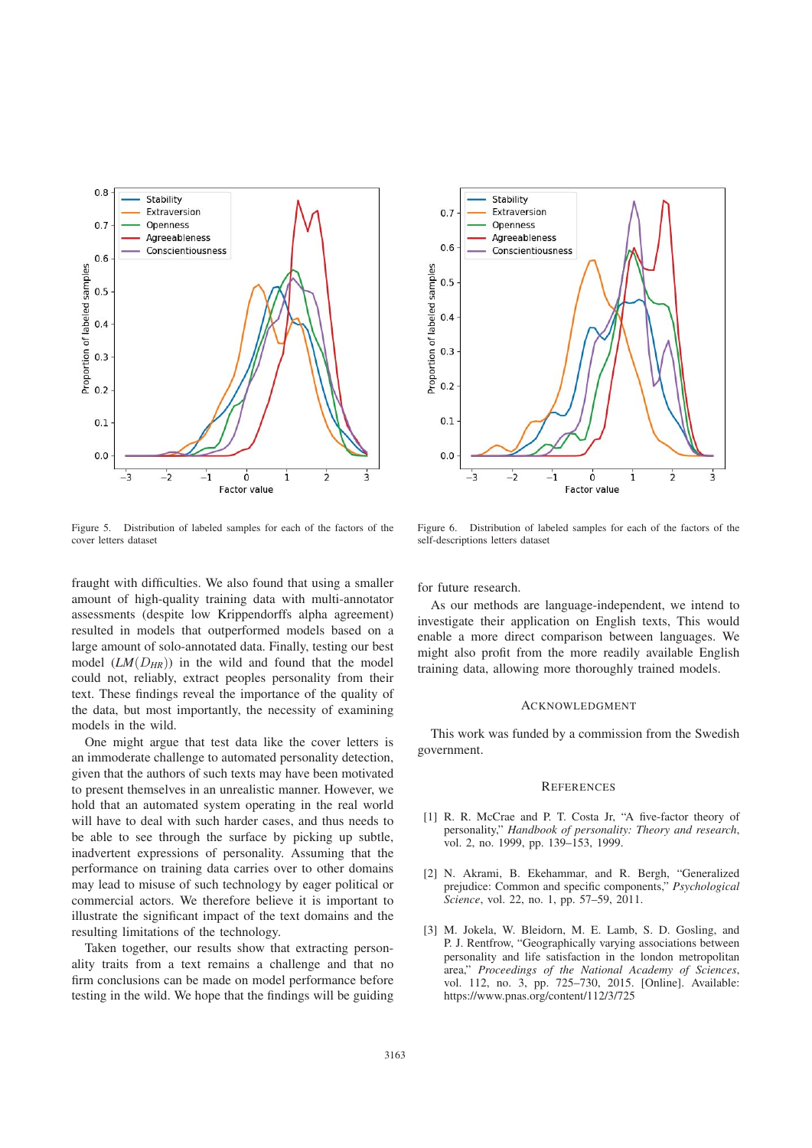

Figure 5. Distribution of labeled samples for each of the factors of the cover letters dataset

fraught with difficulties. We also found that using a smaller amount of high-quality training data with multi-annotator assessments (despite low Krippendorffs alpha agreement) resulted in models that outperformed models based on a large amount of solo-annotated data. Finally, testing our best model  $(LM(D_{HR}))$  in the wild and found that the model could not, reliably, extract peoples personality from their text. These findings reveal the importance of the quality of the data, but most importantly, the necessity of examining models in the wild.

One might argue that test data like the cover letters is an immoderate challenge to automated personality detection, given that the authors of such texts may have been motivated to present themselves in an unrealistic manner. However, we hold that an automated system operating in the real world will have to deal with such harder cases, and thus needs to be able to see through the surface by picking up subtle, inadvertent expressions of personality. Assuming that the performance on training data carries over to other domains may lead to misuse of such technology by eager political or commercial actors. We therefore believe it is important to illustrate the significant impact of the text domains and the resulting limitations of the technology.

Taken together, our results show that extracting personality traits from a text remains a challenge and that no firm conclusions can be made on model performance before testing in the wild. We hope that the findings will be guiding



Figure 6. Distribution of labeled samples for each of the factors of the self-descriptions letters dataset

for future research.

As our methods are language-independent, we intend to investigate their application on English texts, This would enable a more direct comparison between languages. We might also profit from the more readily available English training data, allowing more thoroughly trained models.

#### ACKNOWLEDGMENT

This work was funded by a commission from the Swedish government.

#### **REFERENCES**

- [1] R. R. McCrae and P. T. Costa Jr, "A five-factor theory of personality," *Handbook of personality: Theory and research*, vol. 2, no. 1999, pp. 139–153, 1999.
- [2] N. Akrami, B. Ekehammar, and R. Bergh, "Generalized prejudice: Common and specific components," *Psychological Science*, vol. 22, no. 1, pp. 57–59, 2011.
- [3] M. Jokela, W. Bleidorn, M. E. Lamb, S. D. Gosling, and P. J. Rentfrow, "Geographically varying associations between personality and life satisfaction in the london metropolitan area," *Proceedings of the National Academy of Sciences*, vol. 112, no. 3, pp. 725–730, 2015. [Online]. Available: https://www.pnas.org/content/112/3/725